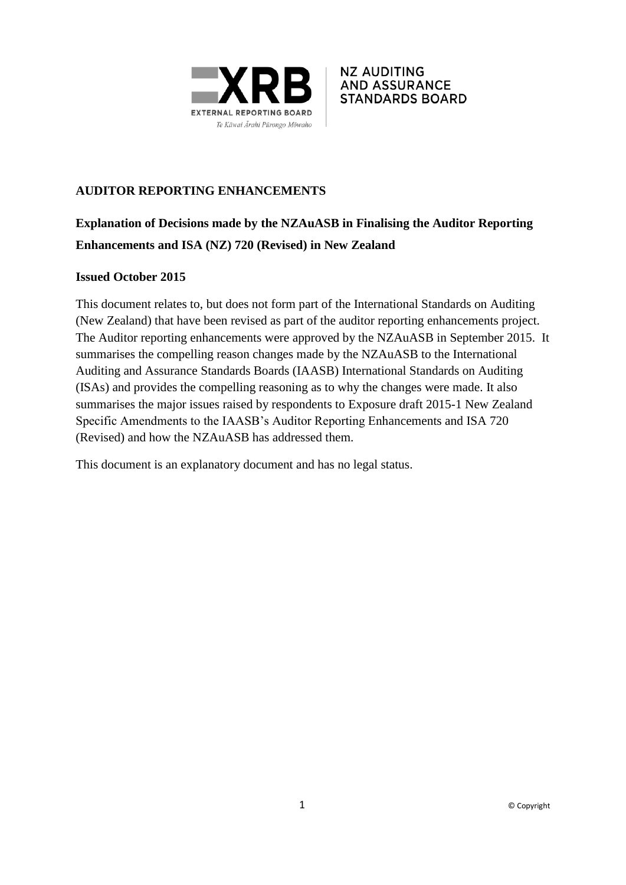



# **AUDITOR REPORTING ENHANCEMENTS**

# **Explanation of Decisions made by the NZAuASB in Finalising the Auditor Reporting Enhancements and ISA (NZ) 720 (Revised) in New Zealand**

### **Issued October 2015**

This document relates to, but does not form part of the International Standards on Auditing (New Zealand) that have been revised as part of the auditor reporting enhancements project. The Auditor reporting enhancements were approved by the NZAuASB in September 2015. It summarises the compelling reason changes made by the NZAuASB to the International Auditing and Assurance Standards Boards (IAASB) International Standards on Auditing (ISAs) and provides the compelling reasoning as to why the changes were made. It also summarises the major issues raised by respondents to Exposure draft 2015-1 New Zealand Specific Amendments to the IAASB's Auditor Reporting Enhancements and ISA 720 (Revised) and how the NZAuASB has addressed them.

This document is an explanatory document and has no legal status.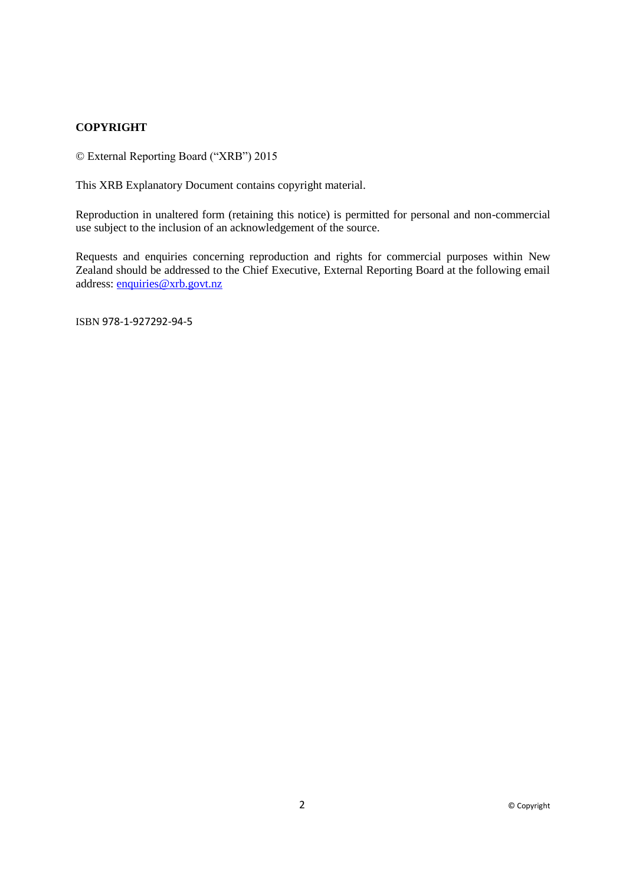#### **COPYRIGHT**

© External Reporting Board ("XRB") 2015

This XRB Explanatory Document contains copyright material.

Reproduction in unaltered form (retaining this notice) is permitted for personal and non-commercial use subject to the inclusion of an acknowledgement of the source.

Requests and enquiries concerning reproduction and rights for commercial purposes within New Zealand should be addressed to the Chief Executive, External Reporting Board at the following email address: [enquiries@xrb.govt.nz](mailto:enquiries@xrb.govt.nz)

ISBN 978-1-927292-94-5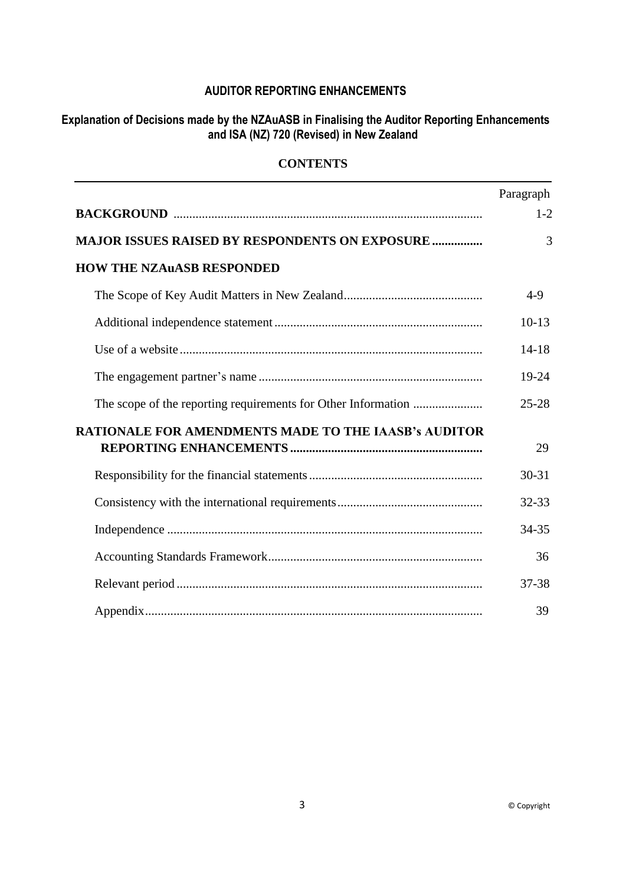## **AUDITOR REPORTING ENHANCEMENTS**

### **Explanation of Decisions made by the NZAuASB in Finalising the Auditor Reporting Enhancements and ISA (NZ) 720 (Revised) in New Zealand**

### **CONTENTS**

|                                                             | Paragraph |
|-------------------------------------------------------------|-----------|
|                                                             | $1 - 2$   |
| <b>MAJOR ISSUES RAISED BY RESPONDENTS ON EXPOSURE </b>      | 3         |
| <b>HOW THE NZAUASB RESPONDED</b>                            |           |
|                                                             | $4-9$     |
|                                                             | $10-13$   |
|                                                             | $14 - 18$ |
|                                                             | 19-24     |
|                                                             | $25 - 28$ |
| <b>RATIONALE FOR AMENDMENTS MADE TO THE IAASB's AUDITOR</b> | 29        |
|                                                             | $30 - 31$ |
|                                                             | 32-33     |
|                                                             | 34-35     |
|                                                             | 36        |
|                                                             | 37-38     |
|                                                             | 39        |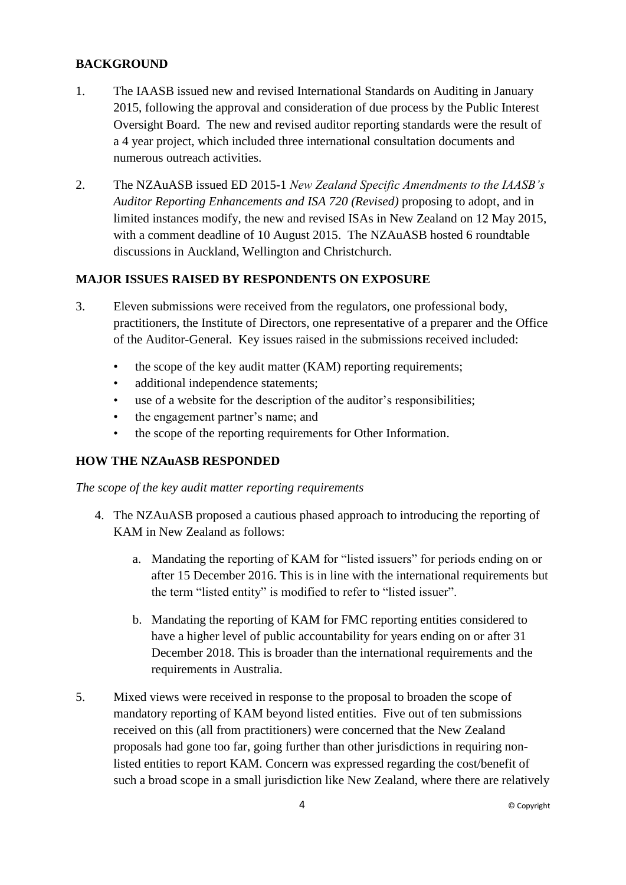### **BACKGROUND**

- 1. The IAASB issued new and revised International Standards on Auditing in January 2015, following the approval and consideration of due process by the Public Interest Oversight Board. The new and revised auditor reporting standards were the result of a 4 year project, which included three international consultation documents and numerous outreach activities.
- 2. The NZAuASB issued ED 2015-1 *New Zealand Specific Amendments to the IAASB's Auditor Reporting Enhancements and ISA 720 (Revised)* proposing to adopt, and in limited instances modify, the new and revised ISAs in New Zealand on 12 May 2015, with a comment deadline of 10 August 2015. The NZAuASB hosted 6 roundtable discussions in Auckland, Wellington and Christchurch.

### **MAJOR ISSUES RAISED BY RESPONDENTS ON EXPOSURE**

- 3. Eleven submissions were received from the regulators, one professional body, practitioners, the Institute of Directors, one representative of a preparer and the Office of the Auditor-General. Key issues raised in the submissions received included:
	- the scope of the key audit matter (KAM) reporting requirements;
	- additional independence statements;
	- use of a website for the description of the auditor's responsibilities;
	- the engagement partner's name; and
	- the scope of the reporting requirements for Other Information.

#### **HOW THE NZAuASB RESPONDED**

*The scope of the key audit matter reporting requirements*

- 4. The NZAuASB proposed a cautious phased approach to introducing the reporting of KAM in New Zealand as follows:
	- a. Mandating the reporting of KAM for "listed issuers" for periods ending on or after 15 December 2016. This is in line with the international requirements but the term "listed entity" is modified to refer to "listed issuer".
	- b. Mandating the reporting of KAM for FMC reporting entities considered to have a higher level of public accountability for years ending on or after 31 December 2018. This is broader than the international requirements and the requirements in Australia.
- 5. Mixed views were received in response to the proposal to broaden the scope of mandatory reporting of KAM beyond listed entities. Five out of ten submissions received on this (all from practitioners) were concerned that the New Zealand proposals had gone too far, going further than other jurisdictions in requiring nonlisted entities to report KAM. Concern was expressed regarding the cost/benefit of such a broad scope in a small jurisdiction like New Zealand, where there are relatively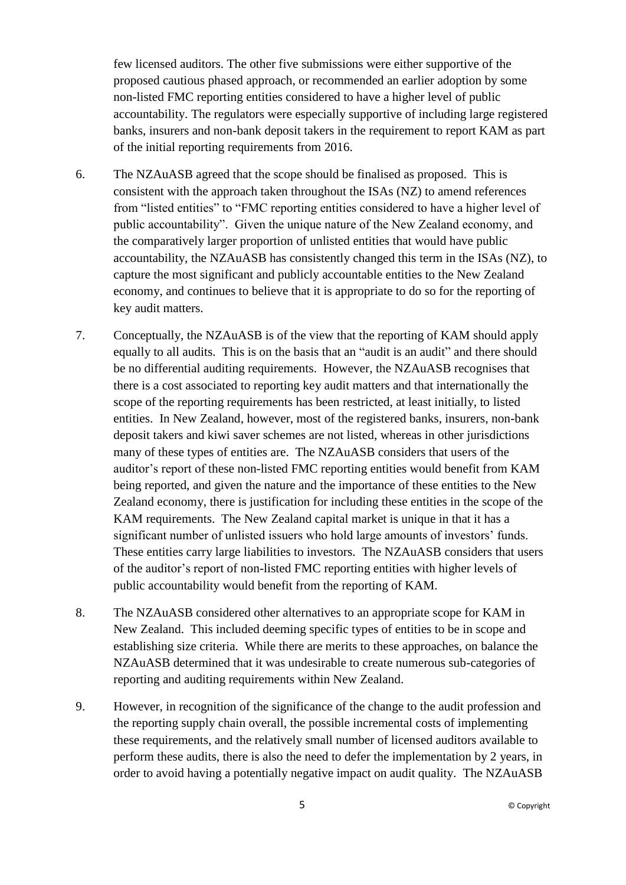few licensed auditors. The other five submissions were either supportive of the proposed cautious phased approach, or recommended an earlier adoption by some non-listed FMC reporting entities considered to have a higher level of public accountability. The regulators were especially supportive of including large registered banks, insurers and non-bank deposit takers in the requirement to report KAM as part of the initial reporting requirements from 2016.

- 6. The NZAuASB agreed that the scope should be finalised as proposed. This is consistent with the approach taken throughout the ISAs (NZ) to amend references from "listed entities" to "FMC reporting entities considered to have a higher level of public accountability". Given the unique nature of the New Zealand economy, and the comparatively larger proportion of unlisted entities that would have public accountability, the NZAuASB has consistently changed this term in the ISAs (NZ), to capture the most significant and publicly accountable entities to the New Zealand economy, and continues to believe that it is appropriate to do so for the reporting of key audit matters.
- 7. Conceptually, the NZAuASB is of the view that the reporting of KAM should apply equally to all audits. This is on the basis that an "audit is an audit" and there should be no differential auditing requirements. However, the NZAuASB recognises that there is a cost associated to reporting key audit matters and that internationally the scope of the reporting requirements has been restricted, at least initially, to listed entities. In New Zealand, however, most of the registered banks, insurers, non-bank deposit takers and kiwi saver schemes are not listed, whereas in other jurisdictions many of these types of entities are. The NZAuASB considers that users of the auditor's report of these non-listed FMC reporting entities would benefit from KAM being reported, and given the nature and the importance of these entities to the New Zealand economy, there is justification for including these entities in the scope of the KAM requirements. The New Zealand capital market is unique in that it has a significant number of unlisted issuers who hold large amounts of investors' funds. These entities carry large liabilities to investors. The NZAuASB considers that users of the auditor's report of non-listed FMC reporting entities with higher levels of public accountability would benefit from the reporting of KAM.
- 8. The NZAuASB considered other alternatives to an appropriate scope for KAM in New Zealand. This included deeming specific types of entities to be in scope and establishing size criteria. While there are merits to these approaches, on balance the NZAuASB determined that it was undesirable to create numerous sub-categories of reporting and auditing requirements within New Zealand.
- 9. However, in recognition of the significance of the change to the audit profession and the reporting supply chain overall, the possible incremental costs of implementing these requirements, and the relatively small number of licensed auditors available to perform these audits, there is also the need to defer the implementation by 2 years, in order to avoid having a potentially negative impact on audit quality. The NZAuASB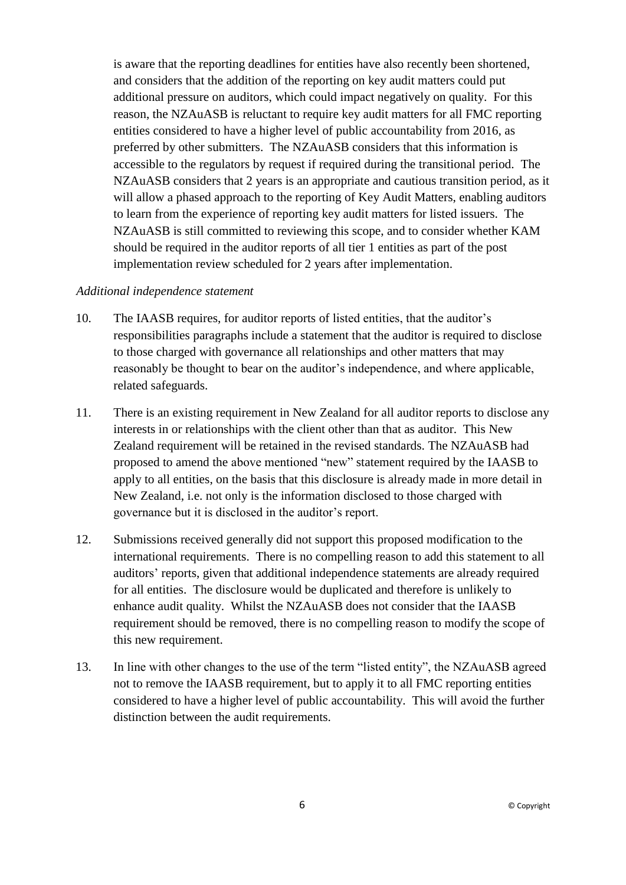is aware that the reporting deadlines for entities have also recently been shortened, and considers that the addition of the reporting on key audit matters could put additional pressure on auditors, which could impact negatively on quality. For this reason, the NZAuASB is reluctant to require key audit matters for all FMC reporting entities considered to have a higher level of public accountability from 2016, as preferred by other submitters. The NZAuASB considers that this information is accessible to the regulators by request if required during the transitional period. The NZAuASB considers that 2 years is an appropriate and cautious transition period, as it will allow a phased approach to the reporting of Key Audit Matters, enabling auditors to learn from the experience of reporting key audit matters for listed issuers. The NZAuASB is still committed to reviewing this scope, and to consider whether KAM should be required in the auditor reports of all tier 1 entities as part of the post implementation review scheduled for 2 years after implementation.

#### *Additional independence statement*

- 10. The IAASB requires, for auditor reports of listed entities, that the auditor's responsibilities paragraphs include a statement that the auditor is required to disclose to those charged with governance all relationships and other matters that may reasonably be thought to bear on the auditor's independence, and where applicable, related safeguards.
- 11. There is an existing requirement in New Zealand for all auditor reports to disclose any interests in or relationships with the client other than that as auditor. This New Zealand requirement will be retained in the revised standards. The NZAuASB had proposed to amend the above mentioned "new" statement required by the IAASB to apply to all entities, on the basis that this disclosure is already made in more detail in New Zealand, i.e. not only is the information disclosed to those charged with governance but it is disclosed in the auditor's report.
- 12. Submissions received generally did not support this proposed modification to the international requirements. There is no compelling reason to add this statement to all auditors' reports, given that additional independence statements are already required for all entities. The disclosure would be duplicated and therefore is unlikely to enhance audit quality. Whilst the NZAuASB does not consider that the IAASB requirement should be removed, there is no compelling reason to modify the scope of this new requirement.
- 13. In line with other changes to the use of the term "listed entity", the NZAuASB agreed not to remove the IAASB requirement, but to apply it to all FMC reporting entities considered to have a higher level of public accountability. This will avoid the further distinction between the audit requirements.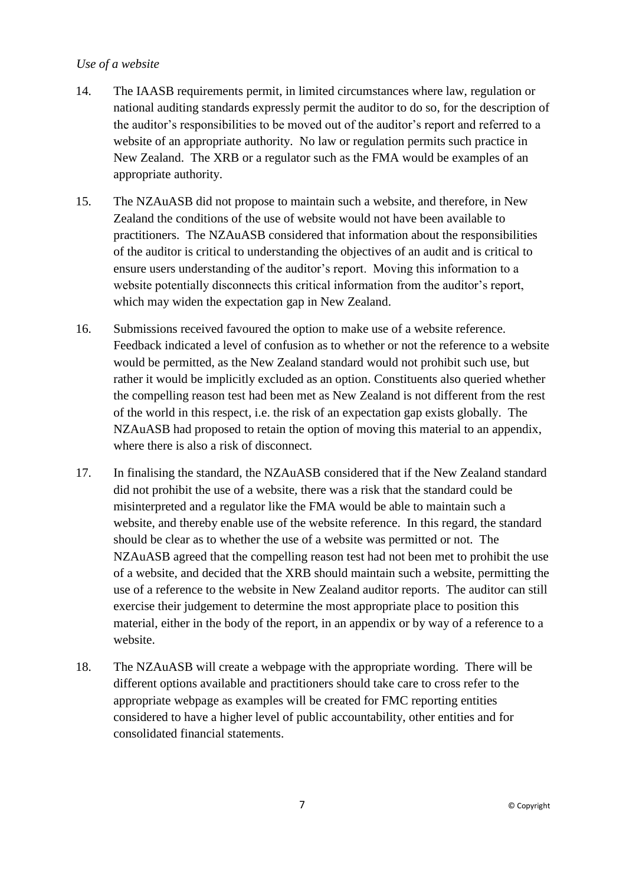### *Use of a website*

- 14. The IAASB requirements permit, in limited circumstances where law, regulation or national auditing standards expressly permit the auditor to do so, for the description of the auditor's responsibilities to be moved out of the auditor's report and referred to a website of an appropriate authority. No law or regulation permits such practice in New Zealand. The XRB or a regulator such as the FMA would be examples of an appropriate authority.
- 15. The NZAuASB did not propose to maintain such a website, and therefore, in New Zealand the conditions of the use of website would not have been available to practitioners. The NZAuASB considered that information about the responsibilities of the auditor is critical to understanding the objectives of an audit and is critical to ensure users understanding of the auditor's report. Moving this information to a website potentially disconnects this critical information from the auditor's report, which may widen the expectation gap in New Zealand.
- 16. Submissions received favoured the option to make use of a website reference. Feedback indicated a level of confusion as to whether or not the reference to a website would be permitted, as the New Zealand standard would not prohibit such use, but rather it would be implicitly excluded as an option. Constituents also queried whether the compelling reason test had been met as New Zealand is not different from the rest of the world in this respect, i.e. the risk of an expectation gap exists globally. The NZAuASB had proposed to retain the option of moving this material to an appendix, where there is also a risk of disconnect.
- 17. In finalising the standard, the NZAuASB considered that if the New Zealand standard did not prohibit the use of a website, there was a risk that the standard could be misinterpreted and a regulator like the FMA would be able to maintain such a website, and thereby enable use of the website reference. In this regard, the standard should be clear as to whether the use of a website was permitted or not. The NZAuASB agreed that the compelling reason test had not been met to prohibit the use of a website, and decided that the XRB should maintain such a website, permitting the use of a reference to the website in New Zealand auditor reports. The auditor can still exercise their judgement to determine the most appropriate place to position this material, either in the body of the report, in an appendix or by way of a reference to a website.
- 18. The NZAuASB will create a webpage with the appropriate wording. There will be different options available and practitioners should take care to cross refer to the appropriate webpage as examples will be created for FMC reporting entities considered to have a higher level of public accountability, other entities and for consolidated financial statements.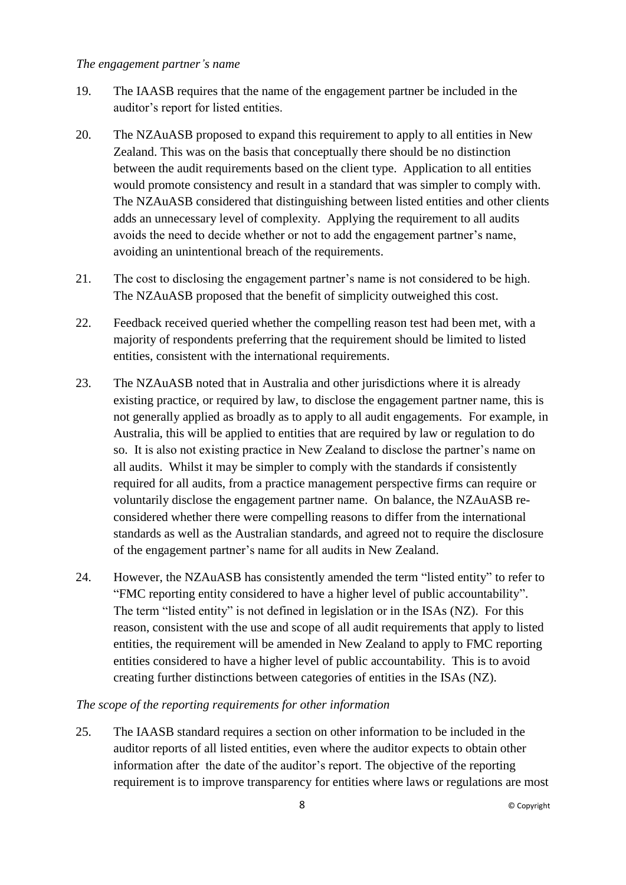#### *The engagement partner's name*

- 19. The IAASB requires that the name of the engagement partner be included in the auditor's report for listed entities.
- 20. The NZAuASB proposed to expand this requirement to apply to all entities in New Zealand. This was on the basis that conceptually there should be no distinction between the audit requirements based on the client type. Application to all entities would promote consistency and result in a standard that was simpler to comply with. The NZAuASB considered that distinguishing between listed entities and other clients adds an unnecessary level of complexity. Applying the requirement to all audits avoids the need to decide whether or not to add the engagement partner's name, avoiding an unintentional breach of the requirements.
- 21. The cost to disclosing the engagement partner's name is not considered to be high. The NZAuASB proposed that the benefit of simplicity outweighed this cost.
- 22. Feedback received queried whether the compelling reason test had been met, with a majority of respondents preferring that the requirement should be limited to listed entities, consistent with the international requirements.
- 23. The NZAuASB noted that in Australia and other jurisdictions where it is already existing practice, or required by law, to disclose the engagement partner name, this is not generally applied as broadly as to apply to all audit engagements. For example, in Australia, this will be applied to entities that are required by law or regulation to do so. It is also not existing practice in New Zealand to disclose the partner's name on all audits. Whilst it may be simpler to comply with the standards if consistently required for all audits, from a practice management perspective firms can require or voluntarily disclose the engagement partner name. On balance, the NZAuASB reconsidered whether there were compelling reasons to differ from the international standards as well as the Australian standards, and agreed not to require the disclosure of the engagement partner's name for all audits in New Zealand.
- 24. However, the NZAuASB has consistently amended the term "listed entity" to refer to "FMC reporting entity considered to have a higher level of public accountability". The term "listed entity" is not defined in legislation or in the ISAs (NZ). For this reason, consistent with the use and scope of all audit requirements that apply to listed entities, the requirement will be amended in New Zealand to apply to FMC reporting entities considered to have a higher level of public accountability. This is to avoid creating further distinctions between categories of entities in the ISAs (NZ).

*The scope of the reporting requirements for other information*

25. The IAASB standard requires a section on other information to be included in the auditor reports of all listed entities, even where the auditor expects to obtain other information after the date of the auditor's report. The objective of the reporting requirement is to improve transparency for entities where laws or regulations are most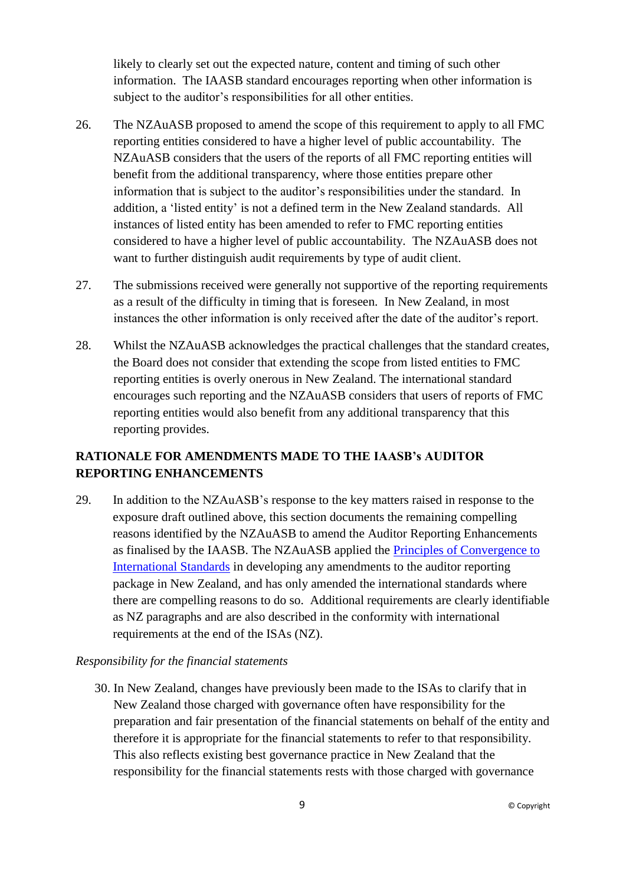likely to clearly set out the expected nature, content and timing of such other information. The IAASB standard encourages reporting when other information is subject to the auditor's responsibilities for all other entities.

- 26. The NZAuASB proposed to amend the scope of this requirement to apply to all FMC reporting entities considered to have a higher level of public accountability. The NZAuASB considers that the users of the reports of all FMC reporting entities will benefit from the additional transparency, where those entities prepare other information that is subject to the auditor's responsibilities under the standard. In addition, a 'listed entity' is not a defined term in the New Zealand standards. All instances of listed entity has been amended to refer to FMC reporting entities considered to have a higher level of public accountability. The NZAuASB does not want to further distinguish audit requirements by type of audit client.
- 27. The submissions received were generally not supportive of the reporting requirements as a result of the difficulty in timing that is foreseen. In New Zealand, in most instances the other information is only received after the date of the auditor's report.
- 28. Whilst the NZAuASB acknowledges the practical challenges that the standard creates, the Board does not consider that extending the scope from listed entities to FMC reporting entities is overly onerous in New Zealand. The international standard encourages such reporting and the NZAuASB considers that users of reports of FMC reporting entities would also benefit from any additional transparency that this reporting provides.

# **RATIONALE FOR AMENDMENTS MADE TO THE IAASB's AUDITOR REPORTING ENHANCEMENTS**

29. In addition to the NZAuASB's response to the key matters raised in response to the exposure draft outlined above, this section documents the remaining compelling reasons identified by the NZAuASB to amend the Auditor Reporting Enhancements as finalised by the IAASB. The NZAuASB applied the [Principles of Convergence to](https://xrb.govt.nz/Site/Auditing_Assurance_Standards/Current_Standards/Convergence_with_Int_Stds.aspx)  [International Standards](https://xrb.govt.nz/Site/Auditing_Assurance_Standards/Current_Standards/Convergence_with_Int_Stds.aspx) in developing any amendments to the auditor reporting package in New Zealand, and has only amended the international standards where there are compelling reasons to do so. Additional requirements are clearly identifiable as NZ paragraphs and are also described in the conformity with international requirements at the end of the ISAs (NZ).

#### *Responsibility for the financial statements*

30. In New Zealand, changes have previously been made to the ISAs to clarify that in New Zealand those charged with governance often have responsibility for the preparation and fair presentation of the financial statements on behalf of the entity and therefore it is appropriate for the financial statements to refer to that responsibility. This also reflects existing best governance practice in New Zealand that the responsibility for the financial statements rests with those charged with governance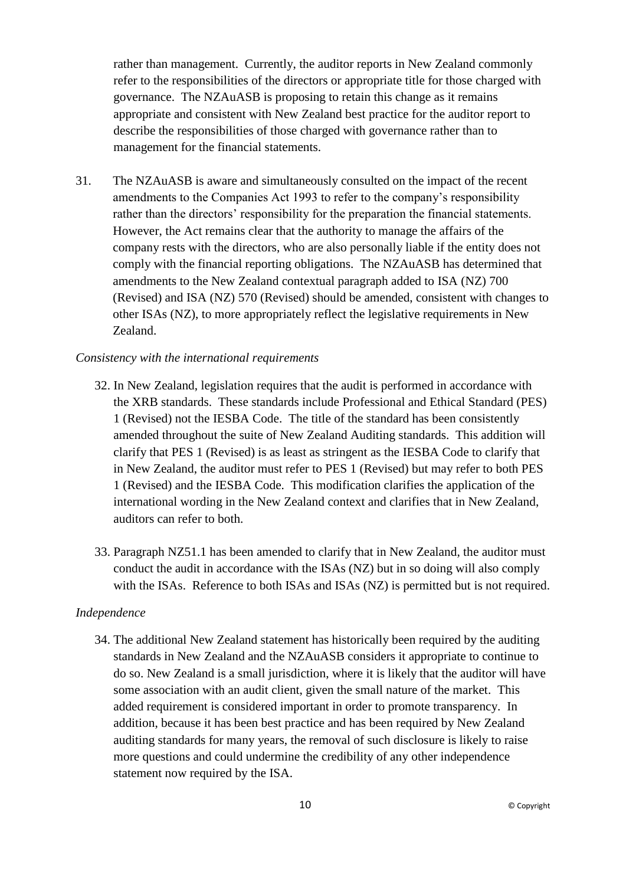rather than management. Currently, the auditor reports in New Zealand commonly refer to the responsibilities of the directors or appropriate title for those charged with governance. The NZAuASB is proposing to retain this change as it remains appropriate and consistent with New Zealand best practice for the auditor report to describe the responsibilities of those charged with governance rather than to management for the financial statements.

31. The NZAuASB is aware and simultaneously consulted on the impact of the recent amendments to the Companies Act 1993 to refer to the company's responsibility rather than the directors' responsibility for the preparation the financial statements. However, the Act remains clear that the authority to manage the affairs of the company rests with the directors, who are also personally liable if the entity does not comply with the financial reporting obligations. The NZAuASB has determined that amendments to the New Zealand contextual paragraph added to ISA (NZ) 700 (Revised) and ISA (NZ) 570 (Revised) should be amended, consistent with changes to other ISAs (NZ), to more appropriately reflect the legislative requirements in New Zealand.

#### *Consistency with the international requirements*

- 32. In New Zealand, legislation requires that the audit is performed in accordance with the XRB standards. These standards include Professional and Ethical Standard (PES) 1 (Revised) not the IESBA Code. The title of the standard has been consistently amended throughout the suite of New Zealand Auditing standards. This addition will clarify that PES 1 (Revised) is as least as stringent as the IESBA Code to clarify that in New Zealand, the auditor must refer to PES 1 (Revised) but may refer to both PES 1 (Revised) and the IESBA Code. This modification clarifies the application of the international wording in the New Zealand context and clarifies that in New Zealand, auditors can refer to both.
- 33. Paragraph NZ51.1 has been amended to clarify that in New Zealand, the auditor must conduct the audit in accordance with the ISAs (NZ) but in so doing will also comply with the ISAs. Reference to both ISAs and ISAs (NZ) is permitted but is not required.

#### *Independence*

34. The additional New Zealand statement has historically been required by the auditing standards in New Zealand and the NZAuASB considers it appropriate to continue to do so. New Zealand is a small jurisdiction, where it is likely that the auditor will have some association with an audit client, given the small nature of the market. This added requirement is considered important in order to promote transparency. In addition, because it has been best practice and has been required by New Zealand auditing standards for many years, the removal of such disclosure is likely to raise more questions and could undermine the credibility of any other independence statement now required by the ISA.